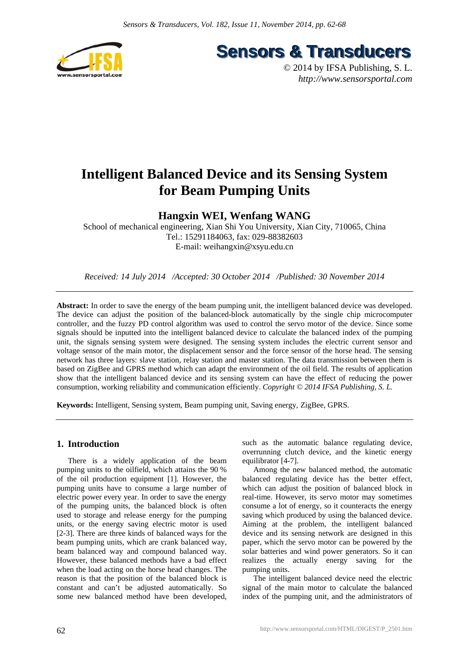

**Sensors & Transducers** 

© 2014 by IFSA Publishing, S. L. *http://www.sensorsportal.com*

# **Intelligent Balanced Device and its Sensing System for Beam Pumping Units**

## **Hangxin WEI, Wenfang WANG**

School of mechanical engineering, Xian Shi You University, Xian City, 710065, China Tel.: 15291184063, fax: 029-88382603 E-mail: weihangxin@xsyu.edu.cn

*Received: 14 July 2014 /Accepted: 30 October 2014 /Published: 30 November 2014*

**Abstract:** In order to save the energy of the beam pumping unit, the intelligent balanced device was developed. The device can adjust the position of the balanced-block automatically by the single chip microcomputer controller, and the fuzzy PD control algorithm was used to control the servo motor of the device. Since some signals should be inputted into the intelligent balanced device to calculate the balanced index of the pumping unit, the signals sensing system were designed. The sensing system includes the electric current sensor and voltage sensor of the main motor, the displacement sensor and the force sensor of the horse head. The sensing network has three layers: slave station, relay station and master station. The data transmission between them is based on ZigBee and GPRS method which can adapt the environment of the oil field. The results of application show that the intelligent balanced device and its sensing system can have the effect of reducing the power consumption, working reliability and communication efficiently. *Copyright © 2014 IFSA Publishing, S. L.*

**Keywords:** Intelligent, Sensing system, Beam pumping unit, Saving energy, ZigBee, GPRS.

## **1. Introduction**

There is a widely application of the beam pumping units to the oilfield, which attains the 90 % of the oil production equipment [1]. However, the pumping units have to consume a large number of electric power every year. In order to save the energy of the pumping units, the balanced block is often used to storage and release energy for the pumping units, or the energy saving electric motor is used [2-3]. There are three kinds of balanced ways for the beam pumping units, which are crank balanced way, beam balanced way and compound balanced way. However, these balanced methods have a bad effect when the load acting on the horse head changes. The reason is that the position of the balanced block is constant and can't be adjusted automatically. So some new balanced method have been developed,

such as the automatic balance regulating device, overrunning clutch device, and the kinetic energy equilibrator [4-7].

Among the new balanced method, the automatic balanced regulating device has the better effect, which can adjust the position of balanced block in real-time. However, its servo motor may sometimes consume a lot of energy, so it counteracts the energy saving which produced by using the balanced device. Aiming at the problem, the intelligent balanced device and its sensing network are designed in this paper, which the servo motor can be powered by the solar batteries and wind power generators. So it can realizes the actually energy saving for the pumping units.

The intelligent balanced device need the electric signal of the main motor to calculate the balanced index of the pumping unit, and the administrators of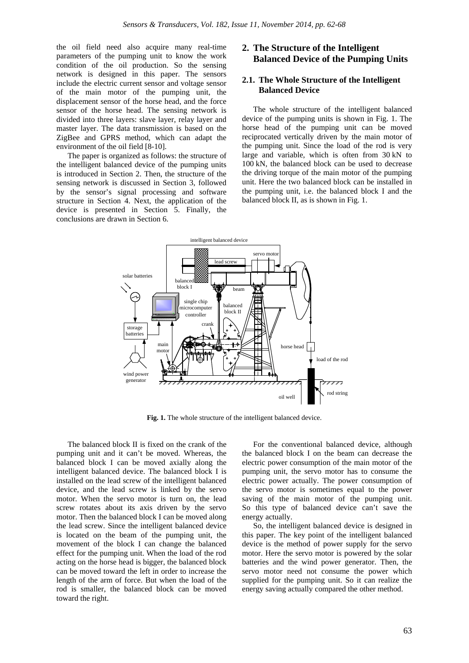the oil field need also acquire many real-time parameters of the pumping unit to know the work condition of the oil production. So the sensing network is designed in this paper. The sensors include the electric current sensor and voltage sensor of the main motor of the pumping unit, the displacement sensor of the horse head, and the force sensor of the horse head. The sensing network is divided into three layers: slave layer, relay layer and master layer. The data transmission is based on the ZigBee and GPRS method, which can adapt the environment of the oil field [8-10].

The paper is organized as follows: the structure of the intelligent balanced device of the pumping units is introduced in Section 2. Then, the structure of the sensing network is discussed in Section 3, followed by the sensor's signal processing and software structure in Section 4. Next, the application of the device is presented in Section 5. Finally, the conclusions are drawn in Section 6.

## **2. The Structure of the Intelligent Balanced Device of the Pumping Units**

## **2.1. The Whole Structure of the Intelligent Balanced Device**

The whole structure of the intelligent balanced device of the pumping units is shown in Fig. 1. The horse head of the pumping unit can be moved reciprocated vertically driven by the main motor of the pumping unit. Since the load of the rod is very large and variable, which is often from 30 kN to 100 kN, the balanced block can be used to decrease the driving torque of the main motor of the pumping unit. Here the two balanced block can be installed in the pumping unit, i.e. the balanced block I and the balanced block II, as is shown in Fig. 1.



Fig. 1. The whole structure of the intelligent balanced device.

The balanced block II is fixed on the crank of the pumping unit and it can't be moved. Whereas, the balanced block I can be moved axially along the intelligent balanced device. The balanced block I is installed on the lead screw of the intelligent balanced device, and the lead screw is linked by the servo motor. When the servo motor is turn on, the lead screw rotates about its axis driven by the servo motor. Then the balanced block I can be moved along the lead screw. Since the intelligent balanced device is located on the beam of the pumping unit, the movement of the block I can change the balanced effect for the pumping unit. When the load of the rod acting on the horse head is bigger, the balanced block can be moved toward the left in order to increase the length of the arm of force. But when the load of the rod is smaller, the balanced block can be moved toward the right.

For the conventional balanced device, although the balanced block I on the beam can decrease the electric power consumption of the main motor of the pumping unit, the servo motor has to consume the electric power actually. The power consumption of the servo motor is sometimes equal to the power saving of the main motor of the pumping unit. So this type of balanced device can't save the energy actually.

So, the intelligent balanced device is designed in this paper. The key point of the intelligent balanced device is the method of power supply for the servo motor. Here the servo motor is powered by the solar batteries and the wind power generator. Then, the servo motor need not consume the power which supplied for the pumping unit. So it can realize the energy saving actually compared the other method.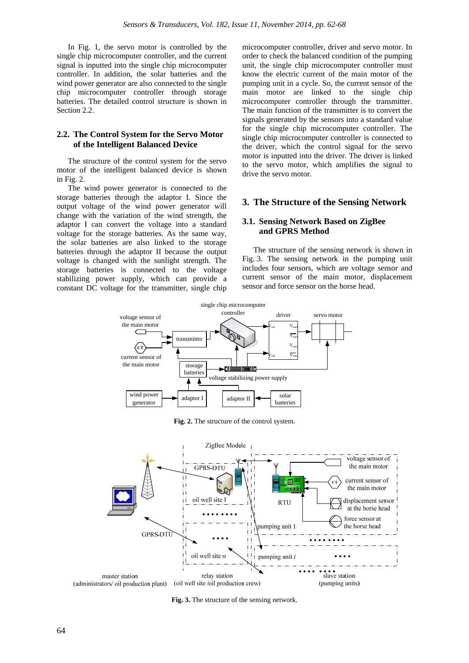In Fig. 1, the servo motor is controlled by the single chip microcomputer controller, and the current signal is inputted into the single chip microcomputer controller. In addition, the solar batteries and the wind power generator are also connected to the single chip microcomputer controller through storage batteries. The detailed control structure is shown in Section 2.2.

## **2.2. The Control System for the Servo Motor of the Intelligent Balanced Device**

The structure of the control system for the servo motor of the intelligent balanced device is shown in Fig. 2.

The wind power generator is connected to the storage batteries through the adaptor I. Since the output voltage of the wind power generator will change with the variation of the wind strength, the adaptor I can convert the voltage into a standard voltage for the storage batteries. As the same way, the solar batteries are also linked to the storage batteries through the adaptor II because the output voltage is changed with the sunlight strength. The storage batteries is connected to the voltage stabilizing power supply, which can provide a constant DC voltage for the transmitter, single chip

microcomputer controller, driver and servo motor. In order to check the balanced condition of the pumping unit, the single chip microcomputer controller must know the electric current of the main motor of the pumping unit in a cycle. So, the current sensor of the main motor are linked to the single chip microcomputer controller through the transmitter. The main function of the transmitter is to convert the signals generated by the sensors into a standard value for the single chip microcomputer controller. The single chip microcomputer controller is connected to the driver, which the control signal for the servo motor is inputted into the driver. The driver is linked to the servo motor, which amplifies the signal to drive the servo motor.

## **3. The Structure of the Sensing Network**

### **3.1. Sensing Network Based on ZigBee and GPRS Method**

The structure of the sensing network is shown in Fig. 3. The sensing network in the pumping unit includes four sensors, which are voltage sensor and current sensor of the main motor, displacement sensor and force sensor on the horse head.



**Fig. 2.** The structure of the control system.



**Fig. 3.** The structure of the sensing network.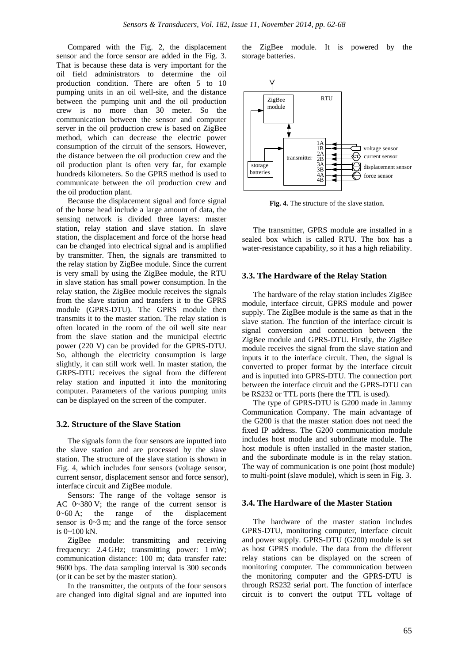Compared with the Fig. 2, the displacement sensor and the force sensor are added in the Fig. 3. That is because these data is very important for the oil field administrators to determine the oil production condition. There are often 5 to 10 pumping units in an oil well-site, and the distance between the pumping unit and the oil production crew is no more than 30 meter. So the communication between the sensor and computer server in the oil production crew is based on ZigBee method, which can decrease the electric power consumption of the circuit of the sensors. However, the distance between the oil production crew and the oil production plant is often very far, for example hundreds kilometers. So the GPRS method is used to communicate between the oil production crew and the oil production plant.

Because the displacement signal and force signal of the horse head include a large amount of data, the sensing network is divided three layers: master station, relay station and slave station. In slave station, the displacement and force of the horse head can be changed into electrical signal and is amplified by transmitter. Then, the signals are transmitted to the relay station by ZigBee module. Since the current is very small by using the ZigBee module, the RTU in slave station has small power consumption. In the relay station, the ZigBee module receives the signals from the slave station and transfers it to the GPRS module (GPRS-DTU). The GPRS module then transmits it to the master station. The relay station is often located in the room of the oil well site near from the slave station and the municipal electric power (220 V) can be provided for the GPRS-DTU. So, although the electricity consumption is large slightly, it can still work well. In master station, the GRPS-DTU receives the signal from the different relay station and inputted it into the monitoring computer. Parameters of the various pumping units can be displayed on the screen of the computer.

#### **3.2. Structure of the Slave Station**

The signals form the four sensors are inputted into the slave station and are processed by the slave station. The structure of the slave station is shown in Fig. 4, which includes four sensors (voltage sensor, current sensor, displacement sensor and force sensor), interface circuit and ZigBee module.

Sensors: The range of the voltage sensor is AC 0~380 V; the range of the current sensor is  $0~60$  A; the range of the displacement sensor is 0~3 m; and the range of the force sensor is 0~100 kN.

ZigBee module: transmitting and receiving frequency: 2.4 GHz; transmitting power: 1 mW; communication distance: 100 m; data transfer rate: 9600 bps. The data sampling interval is 300 seconds (or it can be set by the master station).

In the transmitter, the outputs of the four sensors are changed into digital signal and are inputted into the ZigBee module. It is powered by the storage batteries.



**Fig. 4.** The structure of the slave station.

The transmitter, GPRS module are installed in a sealed box which is called RTU. The box has a water-resistance capability, so it has a high reliability.

#### **3.3. The Hardware of the Relay Station**

The hardware of the relay station includes ZigBee module, interface circuit, GPRS module and power supply. The ZigBee module is the same as that in the slave station. The function of the interface circuit is signal conversion and connection between the ZigBee module and GPRS-DTU. Firstly, the ZigBee module receives the signal from the slave station and inputs it to the interface circuit. Then, the signal is converted to proper format by the interface circuit and is inputted into GPRS-DTU. The connection port between the interface circuit and the GPRS-DTU can be RS232 or TTL ports (here the TTL is used).

The type of GPRS-DTU is G200 made in Jammy Communication Company. The main advantage of the G200 is that the master station does not need the fixed IP address. The G200 communication module includes host module and subordinate module. The host module is often installed in the master station, and the subordinate module is in the relay station. The way of communication is one point (host module) to multi-point (slave module), which is seen in Fig. 3.

#### **3.4. The Hardware of the Master Station**

The hardware of the master station includes GPRS-DTU, monitoring computer, interface circuit and power supply. GPRS-DTU (G200) module is set as host GPRS module. The data from the different relay stations can be displayed on the screen of monitoring computer. The communication between the monitoring computer and the GPRS-DTU is through RS232 serial port. The function of interface circuit is to convert the output TTL voltage of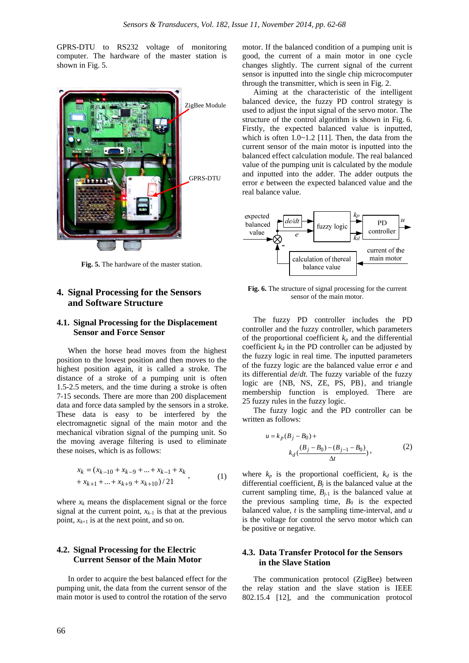GPRS-DTU to RS232 voltage of monitoring computer. The hardware of the master station is shown in Fig. 5.



**Fig. 5.** The hardware of the master station.

## **4. Signal Processing for the Sensors and Software Structure**

## **4.1. Signal Processing for the Displacement Sensor and Force Sensor**

When the horse head moves from the highest position to the lowest position and then moves to the highest position again, it is called a stroke. The distance of a stroke of a pumping unit is often 1.5-2.5 meters, and the time during a stroke is often 7-15 seconds. There are more than 200 displacement data and force data sampled by the sensors in a stroke. These data is easy to be interfered by the electromagnetic signal of the main motor and the mechanical vibration signal of the pumping unit. So the moving average filtering is used to eliminate these noises, which is as follows:

$$
x_k = (x_{k-10} + x_{k-9} + \dots + x_{k-1} + x_k + x_{k+1} + \dots + x_{k+9} + x_{k+10})/21
$$
\n(1)

where  $x_k$  means the displacement signal or the force signal at the current point,  $x_{k-1}$  is that at the previous point,  $x_{k+1}$  is at the next point, and so on.

## **4.2. Signal Processing for the Electric Current Sensor of the Main Motor**

In order to acquire the best balanced effect for the pumping unit, the data from the current sensor of the main motor is used to control the rotation of the servo motor. If the balanced condition of a pumping unit is good, the current of a main motor in one cycle changes slightly. The current signal of the current sensor is inputted into the single chip microcomputer through the transmitter, which is seen in Fig. 2.

Aiming at the characteristic of the intelligent balanced device, the fuzzy PD control strategy is used to adjust the input signal of the servo motor. The structure of the control algorithm is shown in Fig. 6. Firstly, the expected balanced value is inputted, which is often  $1.0 \sim 1.2$  [11]. Then, the data from the current sensor of the main motor is inputted into the balanced effect calculation module. The real balanced value of the pumping unit is calculated by the module and inputted into the adder. The adder outputs the error *e* between the expected balanced value and the real balance value.



**Fig. 6.** The structure of signal processing for the current sensor of the main motor.

The fuzzy PD controller includes the PD controller and the fuzzy controller, which parameters of the proportional coefficient  $k_p$  and the differential coefficient  $k_d$  in the PD controller can be adjusted by the fuzzy logic in real time. The inputted parameters of the fuzzy logic are the balanced value error *e* and its differential *de*/*dt*. The fuzzy variable of the fuzzy logic are {NB, NS, ZE, PS, PB}, and triangle membership function is employed. There are 25 fuzzy rules in the fuzzy logic.

The fuzzy logic and the PD controller can be written as follows:

$$
u = k_p (B_j - B_0) +
$$
  
\n
$$
k_d \left( \frac{(B_j - B_0) - (B_{j-1} - B_0)}{\Delta t} \right),
$$
\n(2)

where  $k_p$  is the proportional coefficient,  $k_d$  is the differential coefficient,  $B_j$  is the balanced value at the current sampling time,  $B_{i-1}$  is the balanced value at the previous sampling time,  $B_0$  is the expected balanced value, *t* is the sampling time-interval, and *u* is the voltage for control the servo motor which can be positive or negative.

## **4.3. Data Transfer Protocol for the Sensors in the Slave Station**

The communication protocol (ZigBee) between the relay station and the slave station is IEEE 802.15.4 [12], and the communication protocol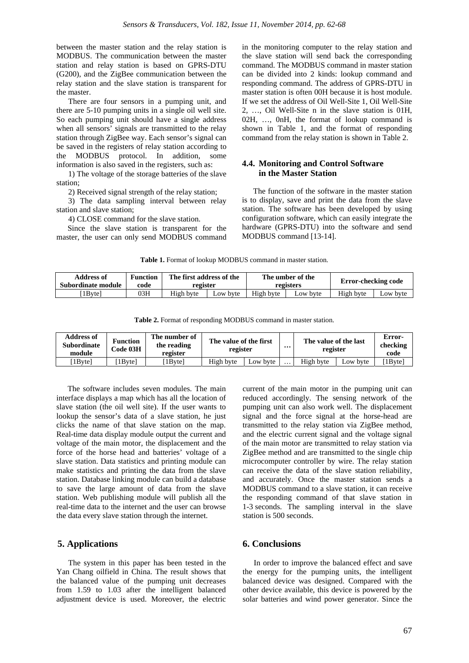between the master station and the relay station is MODBUS. The communication between the master station and relay station is based on GPRS-DTU (G200), and the ZigBee communication between the relay station and the slave station is transparent for the master.

There are four sensors in a pumping unit, and there are 5-10 pumping units in a single oil well site. So each pumping unit should have a single address when all sensors' signals are transmitted to the relay station through ZigBee way. Each sensor's signal can be saved in the registers of relay station according to the MODBUS protocol. In addition, some information is also saved in the registers, such as:

1) The voltage of the storage batteries of the slave station;

2) Received signal strength of the relay station;

3) The data sampling interval between relay station and slave station;

4) CLOSE command for the slave station.

Since the slave station is transparent for the master, the user can only send MODBUS command in the monitoring computer to the relay station and the slave station will send back the corresponding command. The MODBUS command in master station can be divided into 2 kinds: lookup command and responding command. The address of GPRS-DTU in master station is often 00H because it is host module. If we set the address of Oil Well-Site 1, Oil Well-Site 2, …, Oil Well-Site n in the slave station is 01H, 02H, …, 0nH, the format of lookup command is shown in Table 1, and the format of responding command from the relay station is shown in Table 2.

## **4.4. Monitoring and Control Software in the Master Station**

The function of the software in the master station is to display, save and print the data from the slave station. The software has been developed by using configuration software, which can easily integrate the hardware (GPRS-DTU) into the software and send MODBUS command [13-14].

**Table 1.** Format of lookup MODBUS command in master station.

| Address of         | <b>Function</b> | The first address of the |          | The umber of the |          | Error-checking code |          |
|--------------------|-----------------|--------------------------|----------|------------------|----------|---------------------|----------|
| Subordinate module | code            | register                 |          | registers        |          |                     |          |
| 1Bytel             | 03H             | High byte                | Low byte | High byte        | Low byte | High byte           | Low byte |

**Table 2.** Format of responding MODBUS command in master station.

| <b>Address of</b><br><b>Subordinate</b><br>module | The number of<br><b>Function</b><br>the reading<br>Code 03H<br>register |        | The value of the first<br>register |          | $\cdots$ | The value of the last<br>register |          | Error-<br>checking<br>code |
|---------------------------------------------------|-------------------------------------------------------------------------|--------|------------------------------------|----------|----------|-----------------------------------|----------|----------------------------|
| 1Bytel                                            | 1Bvtel                                                                  | 1Bvtel | High byte                          | ∟ow bvte | $\cdots$ | High byte                         | Low byte | 1Byte]                     |

The software includes seven modules. The main interface displays a map which has all the location of slave station (the oil well site). If the user wants to lookup the sensor's data of a slave station, he just clicks the name of that slave station on the map. Real-time data display module output the current and voltage of the main motor, the displacement and the force of the horse head and batteries' voltage of a slave station. Data statistics and printing module can make statistics and printing the data from the slave station. Database linking module can build a database to save the large amount of data from the slave station. Web publishing module will publish all the real-time data to the internet and the user can browse the data every slave station through the internet.

## **5. Applications**

The system in this paper has been tested in the Yan Chang oilfield in China. The result shows that the balanced value of the pumping unit decreases from 1.59 to 1.03 after the intelligent balanced adjustment device is used. Moreover, the electric current of the main motor in the pumping unit can reduced accordingly. The sensing network of the pumping unit can also work well. The displacement signal and the force signal at the horse-head are transmitted to the relay station via ZigBee method, and the electric current signal and the voltage signal of the main motor are transmitted to relay station via ZigBee method and are transmitted to the single chip microcomputer controller by wire. The relay station can receive the data of the slave station reliability, and accurately. Once the master station sends a MODBUS command to a slave station, it can receive the responding command of that slave station in 1-3 seconds. The sampling interval in the slave station is 500 seconds.

## **6. Conclusions**

In order to improve the balanced effect and save the energy for the pumping units, the intelligent balanced device was designed. Compared with the other device available, this device is powered by the solar batteries and wind power generator. Since the